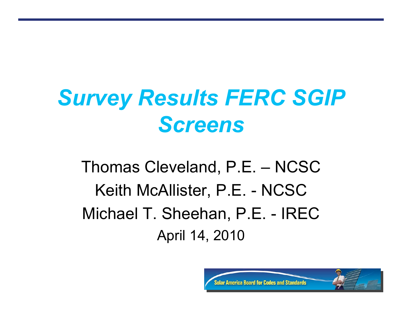## *Survey Results FERC SGIP Screens*

Thomas Cleveland, P.E. – NCSC Keith McAllister, P.E. - NCSC Michael T. Sheehan, P.E. - IREC April 14, 2010

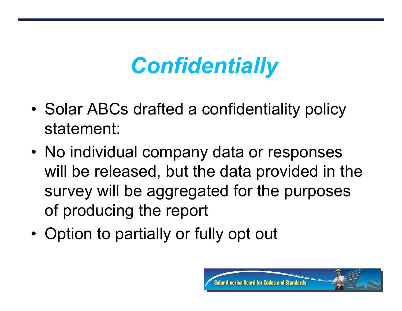## *Confidentially*

- Solar ABCs drafted a confidentiality policy statement:
- No individual company data or responses will be released, but the data provided in the survey will be aggregated for the purposes of producing the report
- Option to partially or fully opt out

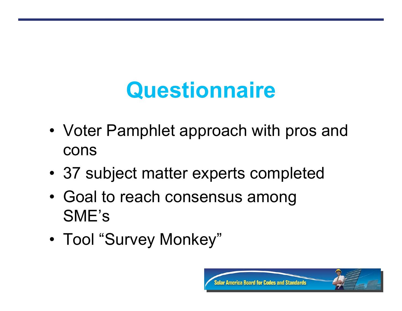# **Questionnaire**

- Voter Pamphlet approach with pros and cons
- 37 subject matter experts completed
- Goal to reach consensus among SME's
- Tool "Survey Monkey"

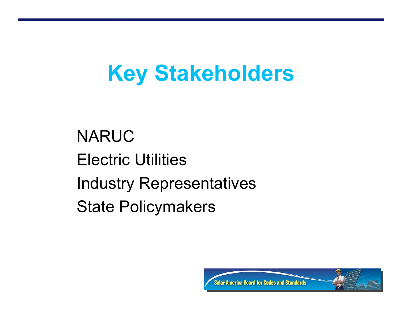### **Key Stakeholders**

NARUC Electric Utilities Industry Representatives State Policymakers

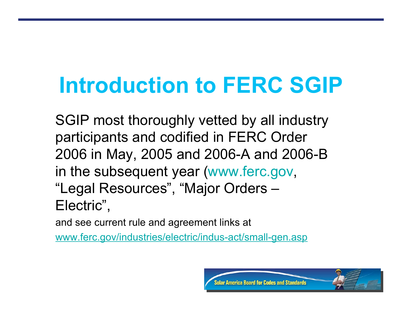# **Introduction to FERC SGIP**

SGIP most thoroughly vetted by all industry participants and codified in FERC Order 2006 in May, 2005 and 2006-A and 2006-B in the subsequent year (www.ferc.gov, "Legal Resources" , "Major Orders – Electric" ,

and see current rule and agreement links at

www.ferc.gov/industries/electric/indus-act/small-gen.asp

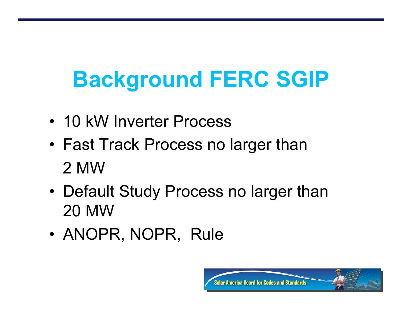# **Background FERC SGIP**

- 10 kW Inverter Process
- Fast Track Process no larger than 2 MW
- Default Study Process no larger than 20 MW
- ANOPR, NOPR, Rule

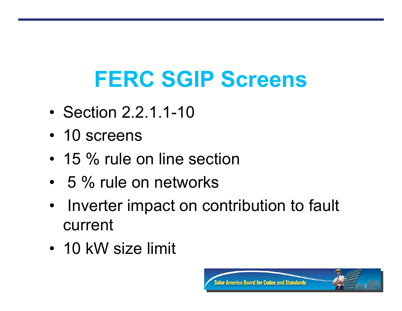# **FERC SGIP Screens**

- Section 2.2.1.1-10
- 10 screens
- 15 % rule on line section
- 5 % rule on networks
- Inverter impact on contribution to fault current
- 10 kW size limit

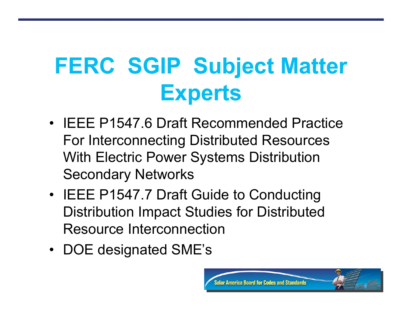# **FERC SGIP Subject Matter Experts**

- IEEE P1547.6 Draft Recommended Practice For Interconnecting Distributed Resources With Electric Power Systems Distribution Secondary Networks
- IEEE P1547.7 Draft Guide to Conducting Distribution Impact Studies for Distributed Resource Interconnection
- DOE designated SME's

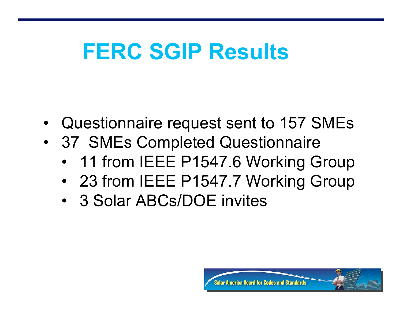### **FERC SGIP Results**

- Questionnaire request sent to 157 SMEs
- 37 SMEs Completed Questionnaire
	- 11 from IEEE P1547.6 Working Group
	- 23 from IEEE P1547.7 Working Group
	- 3 Solar ABCs/DOE invites

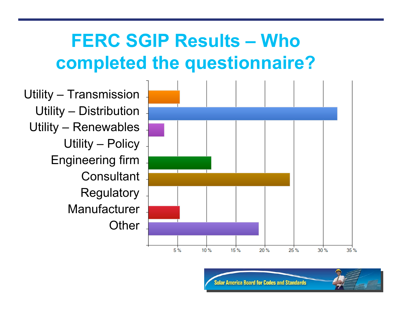#### **FERC SGIP Results – Who completed the questionnaire?**

Utility – Transmission Utility – Distribution Utility – Renewables Utility – Policy Engineering firm **Consultant Regulatory Manufacturer Other** 



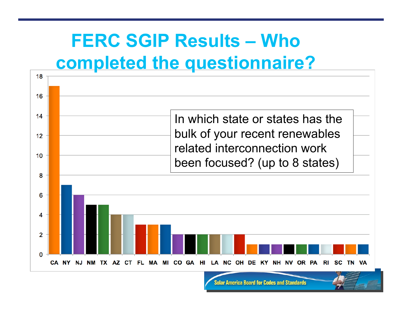#### **FERC SGIP Results – Who completed the questionnaire?**

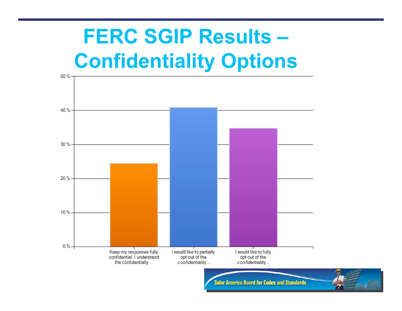### **FERC SGIP Results – Confidentiality Options**

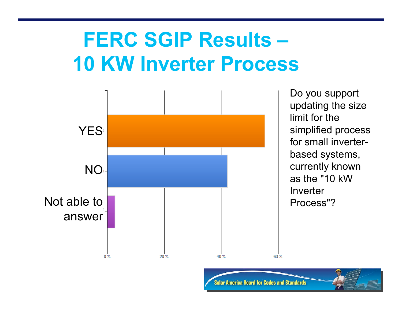### **FERC SGIP Results – 10 KW Inverter Process**



Do you support updating the size limit for the simplified process for small inverterbased systems, currently known as the "10 kW **Inverter** Process"?

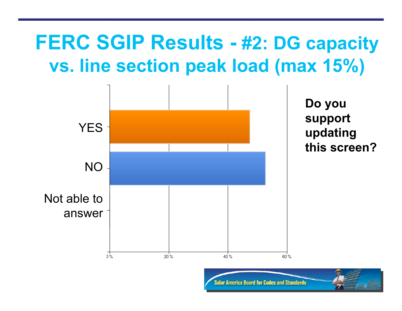#### **FERC SGIP Results - #2: DG capacity vs. line section peak load (max 15%)**

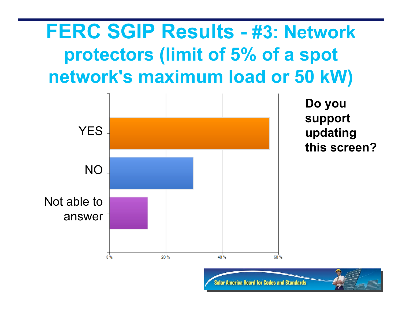#### **FERC SGIP Results - #3: Network protectors (limit of 5% of a spot network's maximum load or 50 kW)**



**Do you support updating this screen?**

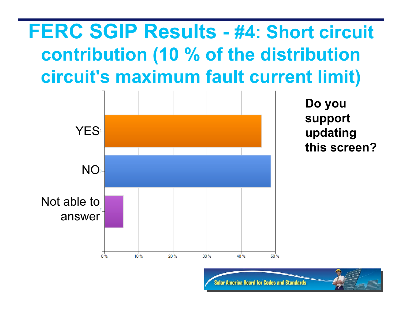### **FERC SGIP Results - #4: Short circuit contribution (10 % of the distribution circuit's maximum fault current limit)**



**Do you support updating this screen?**

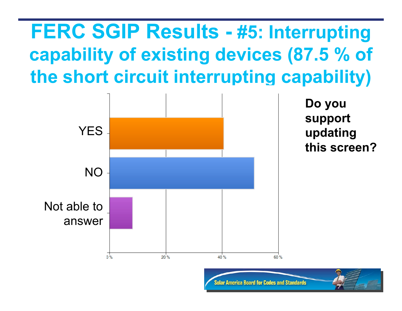### **FERC SGIP Results - #5: Interrupting capability of existing devices (87.5 % of the short circuit interrupting capability)**



**Do you**

**support**

**updating**

**this screen?**

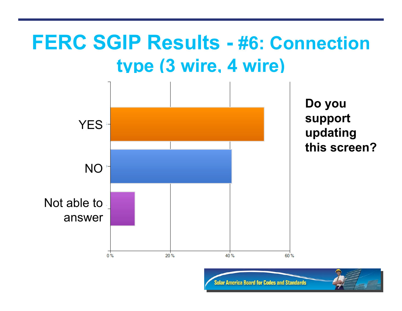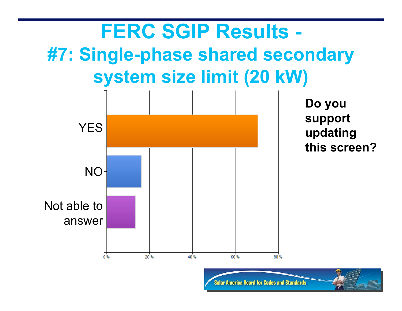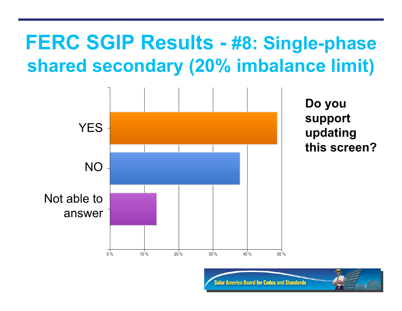#### **FERC SGIP Results - #8: Single-phase shared secondary (20% imbalance limit)**

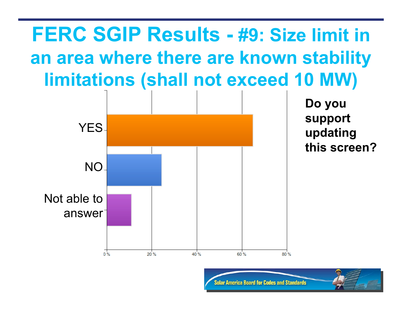### **FERC SGIP Results - #9: Size limit in an area where there are known stability limitations (shall not exceed 10 MW)**



**Do you support updating this screen?**

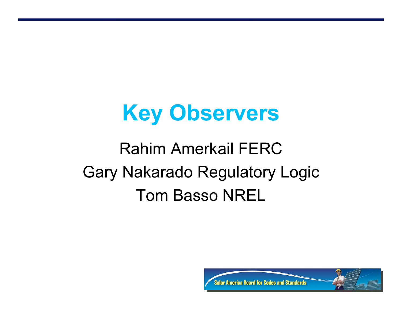### **Key Observers**

### Rahim Amerkail FERC Gary Nakarado Regulatory Logic Tom Basso NREL

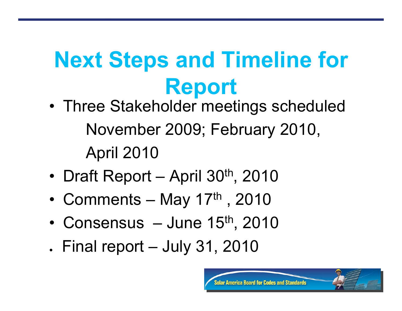# **Next Steps and Timeline for Report**

- Three Stakeholder meetings scheduled November 2009; February 2010, April 2010
- Draft Report April 30<sup>th</sup>, 2010
- Comments May  $17<sup>th</sup>$ , 2010
- Consensus  $-$  June 15<sup>th</sup>, 2010
- $\blacksquare$  Final report July 31, 2010